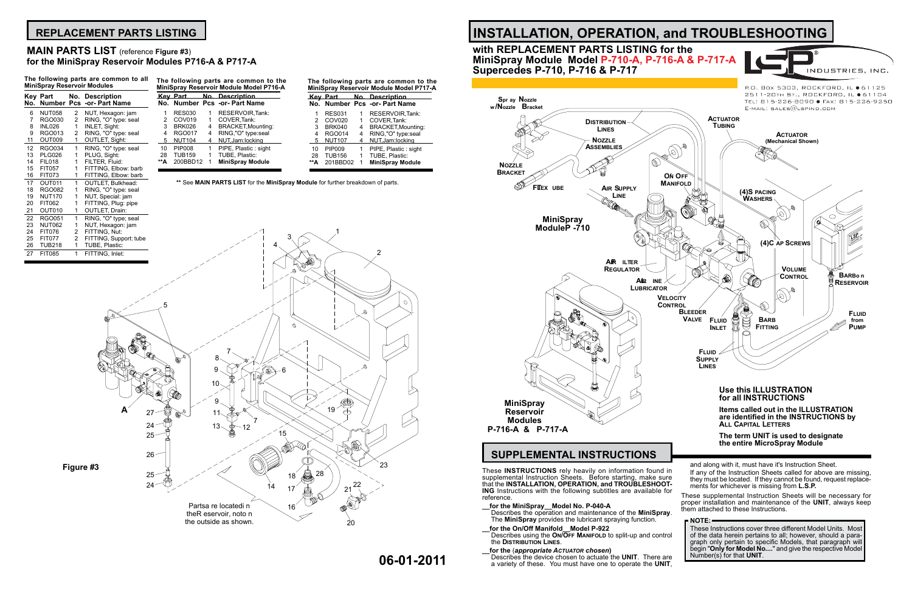Describes the device chosen to actuate the UNIT. There are a variety of these. You must have one to operate the **UNIT**,

- **\_\_for the MiniSpray\_\_Model No. P-040-A**
- Describes the operation and maintenance of the **MiniSpray**. The **MiniSpray** provides the lubricant spraying function.
- **\_\_for the On/Off Manifold\_\_Model P-922**  Describes using the **On/Off Manifold** to split-up and control the **Distribution Lines**.

### **\_\_for the** (*appropriate Actuator chosen***)**

These **INSTRUCTIONS** rely heavily on information found in supplemental Instruction Sheets. Before starting, make sure **ING** Instructions with the following subtitles are available for reference. If any of the Instruction Sheets called for above are missing, they must be located. If they cannot be found, request replacements for whichever is missing from **L.S.P.** These supplemental Instruction Sheets will be necessary for

# **INSTALLATION, OPERATION, and TROUBLESHOOTING with REPLACEMENT PARTS LISTING for the**

P.O. Box 5303, ROCKFORD, IL ● 61125 2511-20TH ST., ROCKFORD, IL ● 61104 TEL: 815-226-8090 · FAX: 815-226-9250

INDUSTRIES, INC.

# **MiniSpray Module Model P-710-A, P-716-A & P-717-A Supercedes P-710, P-716 & P-717**

# **SUPPLEMENTAL INSTRUCTIONS**

and along with it, must have it's Instruction Sheet.

proper installation and maintenance of the **UNIT**, always keep them attached to these Instructions.

### **NOTE:**

These Instructions cover three different Model Units. Most of the data herein pertains to all; however, should a paragraph only pertain to specific Models, that paragraph will begin "**Only for Model No....**" and give the respective Model Number(s) for that **UNIT**.

# **REPLACEMENT PARTS LISTING**

| No.            | Key Part<br>Number | No.<br>Pcs     | <b>Description</b><br>-or- Part Name |
|----------------|--------------------|----------------|--------------------------------------|
| 6              | <b>NUT058</b>      | 2              | NUT, Hexagon: jam                    |
| $\overline{7}$ | RGO030             | $\overline{2}$ | RING, "O" type: seal                 |
| 8              | <b>INL026</b>      | 1              | <b>INLET, Sight:</b>                 |
| 9              | RGO013             | 2              | RING, "O" type: seal                 |
| 11             | OUT009             | 1              | <b>OUTLET, Sight:</b>                |
| 12             | <b>RGO034</b>      | 1              | RING, "O" type: seal                 |
| 13             | <b>PLG026</b>      | 1              | PLUG, Sight:                         |
| 14             | <b>FIL018</b>      | 1              | FILTER, Fluid:                       |
| 15             | <b>FIT057</b>      | 1              | FITTING, Elbow: barb                 |
| 16             | <b>FIT073</b>      | 1              | FITTING, Elbow: barb                 |
| 17             | OUT011             | 1              | <b>OUTLET, Bulkhead:</b>             |
| 18             | <b>RGO082</b>      | 1              | RING, "O" type: seal                 |
| 19             | <b>NUT170</b>      | 1              | NUT, Special: jam                    |
| 20             | FIT062             | 1              | FITTING, Plug: pipe                  |
| 21             | OUT010             | 1              | <b>OUTLET, Drain:</b>                |
| 22             | <b>RGO051</b>      | 1              | RING, "O" type; seal                 |
| 23             | <b>NUT062</b>      | 1              | NUT, Hexagon: jam                    |
| 24             | <b>FIT076</b>      | 2              | FITTING, Nut:                        |
| 25             | <b>FIT077</b>      | 2              | FITTING, Support: tube               |
| 26             | <b>TUB218</b>      | 1              | TUBE, Plastic:                       |
| 27             | <b>FIT085</b>      | 1              | FITTING, Inlet:                      |

| The following parts are common to all | The following parts are common to the   |
|---------------------------------------|-----------------------------------------|
| <b>MiniSpray Reservoir Modules</b>    | MiniSpray Reservoir Module Model P716-A |

## **MAIN PARTS LIST** (reference **Figure #3**) **for the MiniSpray Reservoir Modules P716-A & P717-A**

# **The following parts are common to the**

### **\*\*** See **MAIN PARTS LIST** for the **MiniSpray Module** for further breakdown of parts.

| MiniSpray Reservoir Module Model P716-A |               |   |                               |  |
|-----------------------------------------|---------------|---|-------------------------------|--|
|                                         |               |   | Key Part — No. Description    |  |
|                                         |               |   | No. Number Pcs -or- Part Name |  |
| 1                                       | <b>RES030</b> | 1 | <b>RESERVOIR Tank:</b>        |  |
| 2                                       | COV019        | 1 | COVER, Tank:                  |  |
| 3                                       | <b>BRK026</b> |   | 4 BRACKET, Mounting:          |  |
| 4                                       | <b>RGO017</b> | 4 | RING,"O" type:seal            |  |
| 5                                       | <b>NUT104</b> | 4 | NUT, Jam: locking             |  |
| 10                                      | <b>PIP008</b> | 1 | PIPE, Plastic: sight          |  |
| 28                                      | <b>TUB159</b> | 1 | TUBE, Plastic:                |  |
| **A                                     | 200BBD12      | 1 | <b>MiniSpray Module</b>       |  |

|     | MiniSpray Reservoir Module Model P717-A |   |                                                           |  |  |
|-----|-----------------------------------------|---|-----------------------------------------------------------|--|--|
|     |                                         |   | Key Part No. Description<br>No. Number Pcs -or- Part Name |  |  |
| 1   | <b>RES031</b>                           | 1 | RESERVOIR, Tank:                                          |  |  |
| 2   | <b>COV020</b>                           | 1 | COVER.Tank:                                               |  |  |
| 3   | <b>BRK040</b>                           | 4 | <b>BRACKET, Mounting:</b>                                 |  |  |
| 4   | <b>RGO014</b>                           | 4 | RING,"O" type:seal                                        |  |  |
| 5   | <b>NUT107</b>                           | 4 | NUT, Jam: locking                                         |  |  |
| 10  | PIP009                                  | 1 | PIPE, Plastic: sight                                      |  |  |
| 28  | <b>TUB156</b>                           | 1 | TUBE, Plastic:                                            |  |  |
| **А | 201BBD02                                |   | <b>MiniSpray Module</b>                                   |  |  |

**06-01-2011**

# **the entire MicroSpray Module**